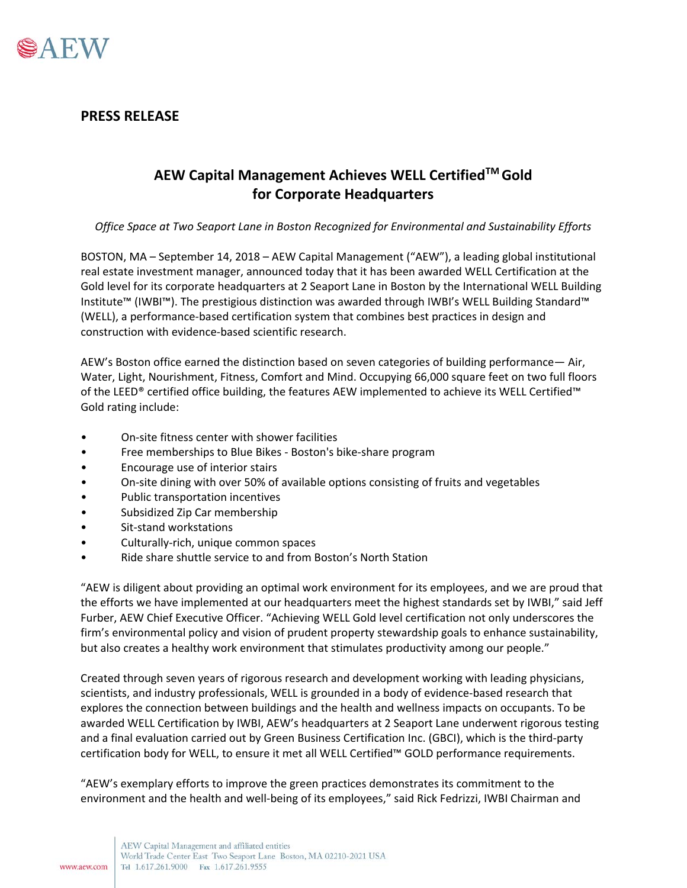

## **PRESS RELEASE**

## **AEW Capital Management Achieves WELL CertifiedTM Gold for Corporate Headquarters**

*Office Space at Two Seaport Lane in Boston Recognized for Environmental and Sustainability Efforts*

BOSTON, MA – September 14, 2018 – AEW Capital Management ("AEW"), a leading global institutional real estate investment manager, announced today that it has been awarded WELL Certification at the Gold level for its corporate headquarters at 2 Seaport Lane in Boston by the International WELL Building Institute™ (IWBI™). The prestigious distinction was awarded through IWBI's WELL Building Standard™ (WELL), a performance-based certification system that combines best practices in design and construction with evidence-based scientific research.

AEW's Boston office earned the distinction based on seven categories of building performance— Air, Water, Light, Nourishment, Fitness, Comfort and Mind. Occupying 66,000 square feet on two full floors of the LEED® certified office building, the features AEW implemented to achieve its WELL Certified™ Gold rating include:

- On-site fitness center with shower facilities
- Free memberships to Blue Bikes Boston's bike-share program
- Encourage use of interior stairs
- On-site dining with over 50% of available options consisting of fruits and vegetables
- Public transportation incentives
- Subsidized Zip Car membership
- Sit-stand workstations
- Culturally-rich, unique common spaces
- Ride share shuttle service to and from Boston's North Station

"AEW is diligent about providing an optimal work environment for its employees, and we are proud that the efforts we have implemented at our headquarters meet the highest standards set by IWBI," said Jeff Furber, AEW Chief Executive Officer. "Achieving WELL Gold level certification not only underscores the firm's environmental policy and vision of prudent property stewardship goals to enhance sustainability, but also creates a healthy work environment that stimulates productivity among our people."

Created through seven years of rigorous research and development working with leading physicians, scientists, and industry professionals, WELL is grounded in a body of evidence-based research that explores the connection between buildings and the health and wellness impacts on occupants. To be awarded WELL Certification by IWBI, AEW's headquarters at 2 Seaport Lane underwent rigorous testing and a final evaluation carried out by Green Business Certification Inc. (GBCI), which is the third-party certification body for WELL, to ensure it met all WELL Certified™ GOLD performance requirements.

"AEW's exemplary efforts to improve the green practices demonstrates its commitment to the environment and the health and well-being of its employees," said Rick Fedrizzi, IWBI Chairman and